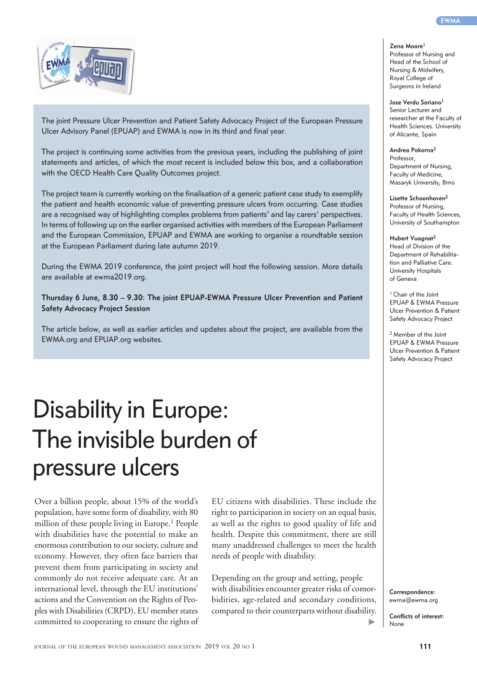The joint Pressure Ulcer Prevention and Patient Safety Advocacy Project of the European Pressure Ulcer Advisory Panel (EPUAP) and EWMA is now in its third and final year.

The project is continuing some activities from the previous years, including the publishing of joint statements and articles, of which the most recent is included below this box, and a collaboration with the OECD Health Care Quality Outcomes project.

The project team is currently working on the finalisation of a generic patient case study to exemplify the patient and health economic value of preventing pressure ulcers from occurring. Case studies are a recognised way of highlighting complex problems from patients' and lay carers' perspectives. In terms of following up on the earlier organised activities with members of the European Parliament and the European Commission, EPUAP and EWMA are working to organise a roundtable session at the European Parliament during late autumn 2019.

During the EWMA 2019 conference, the joint project will host the following session. More details are available at ewma2019.org.

**Thursday 6 June, 8.30 – 9.30: The joint EPUAP-EWMA Pressure Ulcer Prevention and Patient Safety Advocacy Project Session**

The article below, as well as earlier articles and updates about the project, are available from the EWMA.org and EPUAP.org websites.

# Disability in Europe: The invisible burden of pressure ulcers

Over a billion people, about 15% of the world's population, have some form of disability, with 80 million of these people living in Europe.<sup>1</sup> People with disabilities have the potential to make an enormous contribution to our society, culture and economy. However, they often face barriers that prevent them from participating in society and commonly do not receive adequate care. At an international level, through the EU institutions' actions and the Convention on the Rights of Peoples with Disabilities (CRPD), EU member states committed to cooperating to ensure the rights of EU citizens with disabilities. These include the right to participation in society on an equal basis, as well as the rights to good quality of life and health. Despite this commitment, there are still many unaddressed challenges to meet the health needs of people with disability.

Depending on the group and setting, people with disabilities encounter greater risks of comorbidities, age-related and secondary conditions, compared to their counterparts without disability.

**Correspondence:**  ewma@ewma.org

**Conflicts of interest:** None

 $\blacktriangleright$ 

## **Zena Moore1**

Professor of Nursing and Head of the School of Nursing & Midwifery, Royal College of Surgeons in Ireland

### **Jose Verdu Soriano1**

Senior Lecturer and researcher at the Faculty of Health Sciences. University of Alicante, Spain

**Andrea Pokorna2** Professor,

Department of Nursing, Faculty of Medicine, Masaryk University, Brno

**Lisette Schoonhoven2** Professor of Nursing, Faculty of Health Sciences, University of Southampton

**Hubert Vuagnat2** Head of Division of the Department of Rehabilitation and Palliative Care. University Hospitals of Geneva

<sup>1</sup> Chair of the Joint EPUAP & EWMA Pressure Ulcer Prevention & Patient Safety Advocacy Project

2 Member of the Joint EPUAP & EWMA Pressure Ulcer Prevention & Patient Safety Advocacy Project